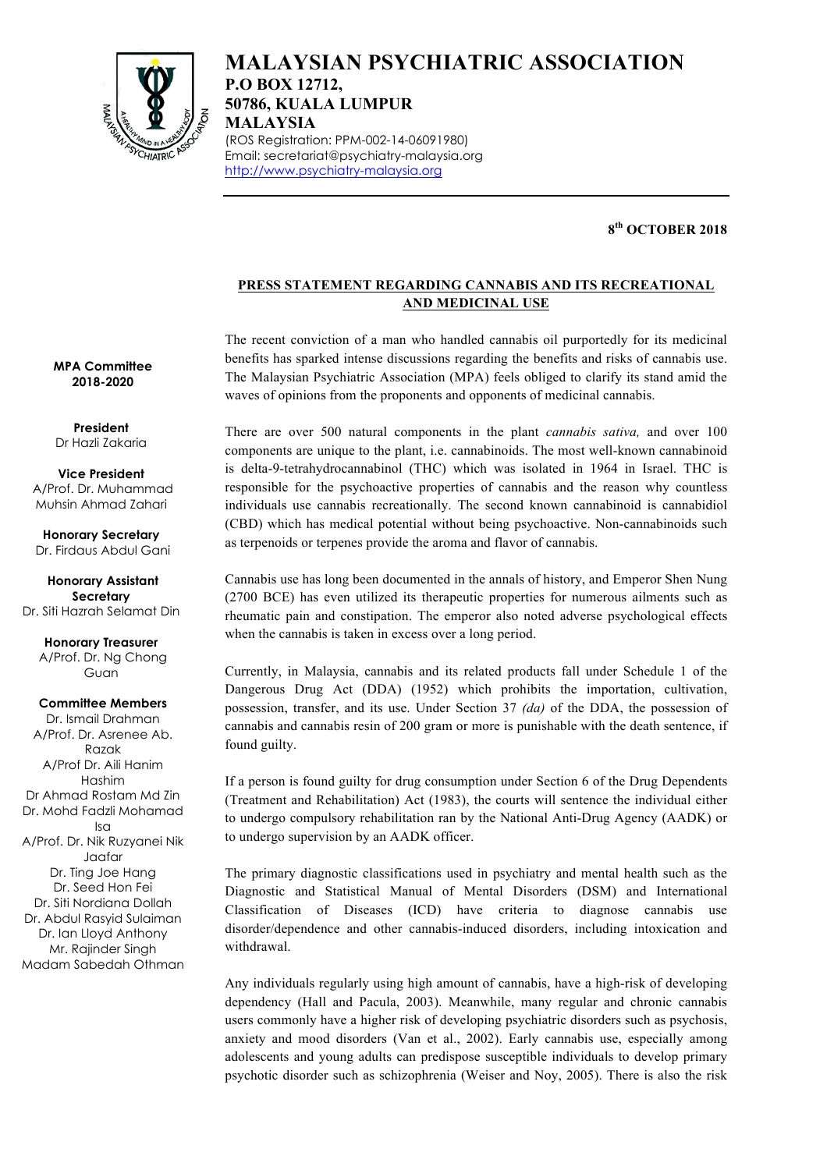

# **MALAYSIAN PSYCHIATRIC ASSOCIATION P.O BOX 12712, 50786, KUALA LUMPUR MALAYSIA** (ROS Registration: PPM-002-14-06091980)

Email: secretariat@psychiatry-malaysia.org http://www.psychiatry-malaysia.org

### **8th OCTOBER 2018**

## **PRESS STATEMENT REGARDING CANNABIS AND ITS RECREATIONAL AND MEDICINAL USE**

The recent conviction of a man who handled cannabis oil purportedly for its medicinal benefits has sparked intense discussions regarding the benefits and risks of cannabis use. The Malaysian Psychiatric Association (MPA) feels obliged to clarify its stand amid the waves of opinions from the proponents and opponents of medicinal cannabis.

There are over 500 natural components in the plant *cannabis sativa,* and over 100 components are unique to the plant, i.e. cannabinoids. The most well-known cannabinoid is delta-9-tetrahydrocannabinol (THC) which was isolated in 1964 in Israel. THC is responsible for the psychoactive properties of cannabis and the reason why countless individuals use cannabis recreationally. The second known cannabinoid is cannabidiol (CBD) which has medical potential without being psychoactive. Non-cannabinoids such as terpenoids or terpenes provide the aroma and flavor of cannabis.

Cannabis use has long been documented in the annals of history, and Emperor Shen Nung (2700 BCE) has even utilized its therapeutic properties for numerous ailments such as rheumatic pain and constipation. The emperor also noted adverse psychological effects when the cannabis is taken in excess over a long period.

Currently, in Malaysia, cannabis and its related products fall under Schedule 1 of the Dangerous Drug Act (DDA) (1952) which prohibits the importation, cultivation, possession, transfer, and its use. Under Section 37 *(da)* of the DDA, the possession of cannabis and cannabis resin of 200 gram or more is punishable with the death sentence, if found guilty.

If a person is found guilty for drug consumption under Section 6 of the Drug Dependents (Treatment and Rehabilitation) Act (1983), the courts will sentence the individual either to undergo compulsory rehabilitation ran by the National Anti-Drug Agency (AADK) or to undergo supervision by an AADK officer.

The primary diagnostic classifications used in psychiatry and mental health such as the Diagnostic and Statistical Manual of Mental Disorders (DSM) and International Classification of Diseases (ICD) have criteria to diagnose cannabis use disorder/dependence and other cannabis-induced disorders, including intoxication and withdrawal.

Any individuals regularly using high amount of cannabis, have a high-risk of developing dependency (Hall and Pacula, 2003). Meanwhile, many regular and chronic cannabis users commonly have a higher risk of developing psychiatric disorders such as psychosis, anxiety and mood disorders (Van et al., 2002). Early cannabis use, especially among adolescents and young adults can predispose susceptible individuals to develop primary psychotic disorder such as schizophrenia (Weiser and Noy, 2005). There is also the risk

**MPA Committee 2018-2020**

**President** Dr Hazli Zakaria

**Vice President** A/Prof. Dr. Muhammad Muhsin Ahmad Zahari

**Honorary Secretary** Dr. Firdaus Abdul Gani

**Honorary Assistant Secretary** Dr. Siti Hazrah Selamat Din

> **Honorary Treasurer** A/Prof. Dr. Ng Chong Guan

**Committee Members** Dr. Ismail Drahman A/Prof. Dr. Asrenee Ab. Razak A/Prof Dr. Aili Hanim Hashim Dr Ahmad Rostam Md Zin Dr. Mohd Fadzli Mohamad Isa A/Prof. Dr. Nik Ruzyanei Nik Jaafar Dr. Ting Joe Hang Dr. Seed Hon Fei Dr. Siti Nordiana Dollah Dr. Abdul Rasyid Sulaiman Dr. Ian Lloyd Anthony Mr. Rajinder Singh Madam Sabedah Othman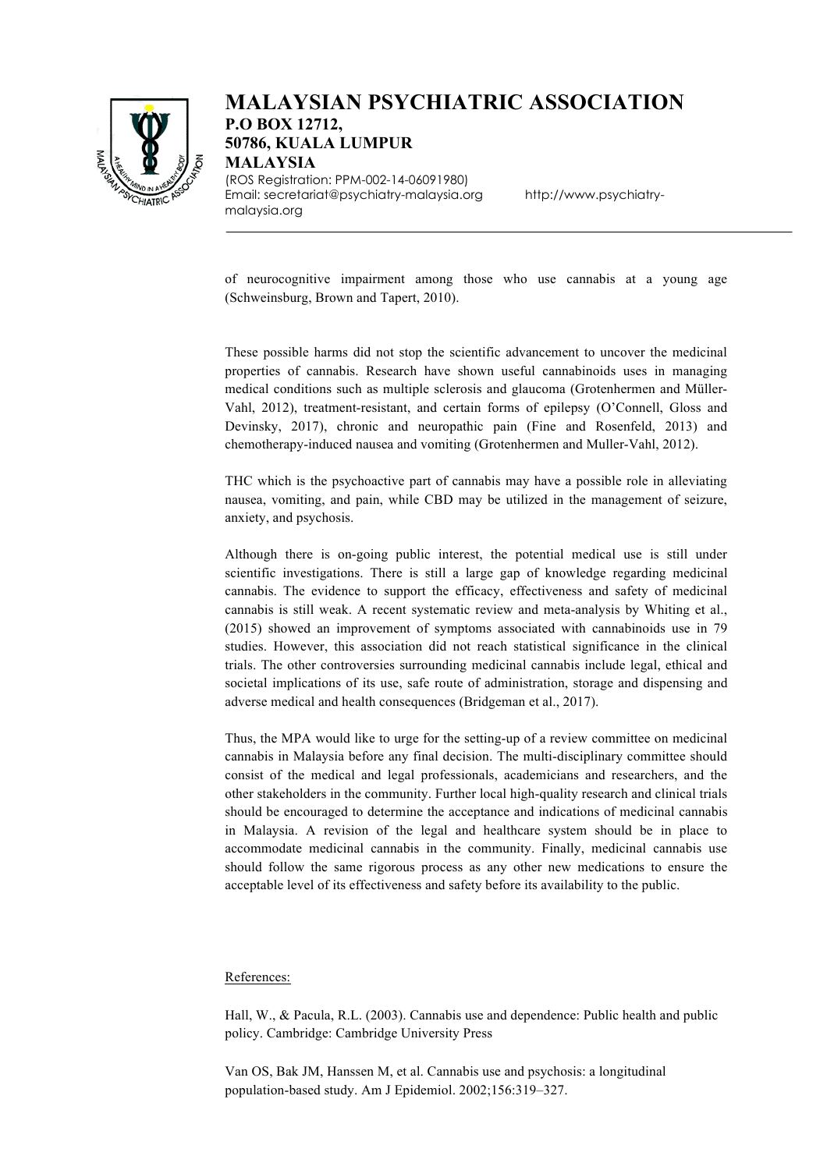

# **MALAYSIAN PSYCHIATRIC ASSOCIATION P.O BOX 12712, 50786, KUALA LUMPUR MALAYSIA** (ROS Registration: PPM-002-14-06091980)

Email: secretariat@psychiatry-malaysia.org http://www.psychiatrymalaysia.org

of neurocognitive impairment among those who use cannabis at a young age (Schweinsburg, Brown and Tapert, 2010).

These possible harms did not stop the scientific advancement to uncover the medicinal properties of cannabis. Research have shown useful cannabinoids uses in managing medical conditions such as multiple sclerosis and glaucoma (Grotenhermen and Müller-Vahl, 2012), treatment-resistant, and certain forms of epilepsy (O'Connell, Gloss and Devinsky, 2017), chronic and neuropathic pain (Fine and Rosenfeld, 2013) and chemotherapy-induced nausea and vomiting (Grotenhermen and Muller-Vahl, 2012).

THC which is the psychoactive part of cannabis may have a possible role in alleviating nausea, vomiting, and pain, while CBD may be utilized in the management of seizure, anxiety, and psychosis.

Although there is on-going public interest, the potential medical use is still under scientific investigations. There is still a large gap of knowledge regarding medicinal cannabis. The evidence to support the efficacy, effectiveness and safety of medicinal cannabis is still weak. A recent systematic review and meta-analysis by Whiting et al., (2015) showed an improvement of symptoms associated with cannabinoids use in 79 studies. However, this association did not reach statistical significance in the clinical trials. The other controversies surrounding medicinal cannabis include legal, ethical and societal implications of its use, safe route of administration, storage and dispensing and adverse medical and health consequences (Bridgeman et al., 2017).

Thus, the MPA would like to urge for the setting-up of a review committee on medicinal cannabis in Malaysia before any final decision. The multi-disciplinary committee should consist of the medical and legal professionals, academicians and researchers, and the other stakeholders in the community. Further local high-quality research and clinical trials should be encouraged to determine the acceptance and indications of medicinal cannabis in Malaysia. A revision of the legal and healthcare system should be in place to accommodate medicinal cannabis in the community. Finally, medicinal cannabis use should follow the same rigorous process as any other new medications to ensure the acceptable level of its effectiveness and safety before its availability to the public.

#### References:

Hall, W., & Pacula, R.L. (2003). Cannabis use and dependence: Public health and public policy. Cambridge: Cambridge University Press

Van OS, Bak JM, Hanssen M, et al. Cannabis use and psychosis: a longitudinal population-based study. Am J Epidemiol. 2002;156:319–327.